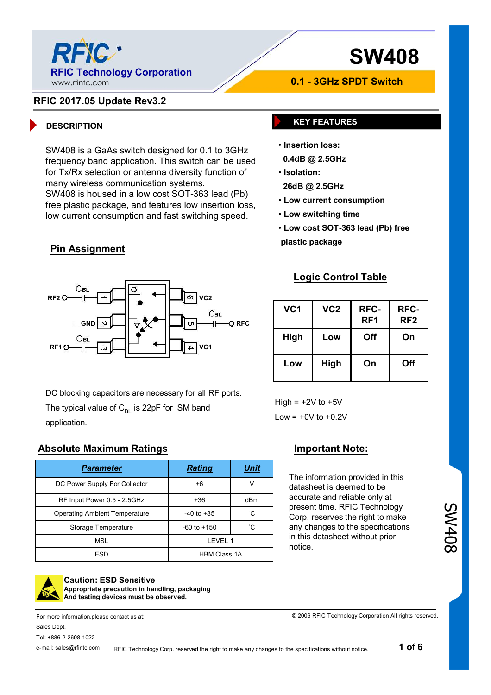

#### **RFIC 2017.05 Update Rev3.2**

### **DESCRIPTION KEY FEATURES**

SW408 is a GaAs switch designed for 0.1 to 3GHz frequency band application. This switch can be used for Tx/Rx selection or antenna diversity function of many wireless communication systems. SW408 is housed in a low cost SOT-363 lead (Pb) free plastic package, and features low insertion loss, low current consumption and fast switching speed.

### **Pin Assignment**



DC blocking capacitors are necessary for all RF ports. The typical value of  $C_{B1}$  is 22pF for ISM band application.

#### **Absolute Maximum Ratings Important Note:**

| Parameter                            | <b>Rating</b>       | Unit |
|--------------------------------------|---------------------|------|
| DC Power Supply For Collector        | $+6$                | ν    |
| RF Input Power 0.5 - 2.5GHz          | +36                 | dBm  |
| <b>Operating Ambient Temperature</b> | $-40$ to $+85$      | °С   |
| Storage Temperature                  | $-60$ to $+150$     | °C   |
| <b>MSL</b>                           | LEVEL 1             |      |
| <b>ESD</b>                           | <b>HBM Class 1A</b> |      |

RFIC Technology Corp. reserved the right to make any changes to the specifications without notice.



#### **Caution: ESD Sensitive Appropriate precaution in handling, packaging And testing devices must be observed.**

For more information,please contact us at: Sales Dept. Tel: +886-2-2698-1022

e-mail: sales@rfintc.com

• **Isolation: 26dB @ 2.5GHz**

- **Low current consumption**
- **Low switching time**
- **Low cost SOT-363 lead (Pb) free**

**0.1 - 3GHz SPDT Switch**

**plastic package**

• **Insertion loss: 0.4dB @ 2.5GHz**

#### **Logic Control Table**

| VC1  | VC <sub>2</sub> | RFC-<br>RF <sub>1</sub> | RFC-<br>RF <sub>2</sub> |
|------|-----------------|-------------------------|-------------------------|
| High | Low             | Off                     | On                      |
| Low  | High            | On                      | Off                     |

High  $= +2V$  to  $+5V$ Low  $= +0V$  to  $+0.2V$ 

The information provided in this datasheet is deemed to be accurate and reliable only at present time. RFIC Technology Corp. reserves the right to make any changes to the specifications in this datasheet without prior notice.

© 2006 RFIC Technology Corporation All rights reserved.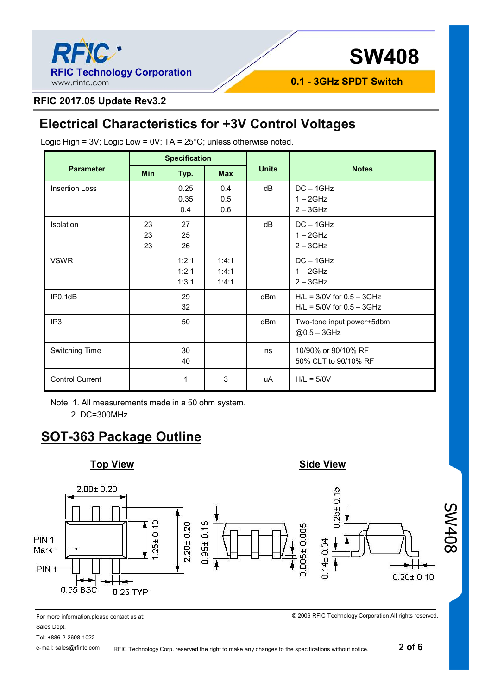

**0.1 - 3GHz SPDT Switch**

### **RFIC 2017.05 Update Rev3.2**

## **Electrical Characteristics for +3V Control Voltages**

|                        | <b>Specification</b> |                         |                         |                 |                                                                |
|------------------------|----------------------|-------------------------|-------------------------|-----------------|----------------------------------------------------------------|
| <b>Parameter</b>       | <b>Min</b>           | Typ.                    | <b>Max</b>              | <b>Units</b>    | <b>Notes</b>                                                   |
| <b>Insertion Loss</b>  |                      | 0.25<br>0.35<br>0.4     | 0.4<br>0.5<br>0.6       | dB              | $DC - 1GHz$<br>$1 - 2$ GHz<br>$2 - 3$ GHz                      |
| Isolation              | 23<br>23<br>23       | 27<br>25<br>26          |                         | dB              | $DC - 1GHz$<br>$1 - 2$ GHz<br>$2 - 3$ GHz                      |
| <b>VSWR</b>            |                      | 1:2:1<br>1:2:1<br>1:3:1 | 1:4:1<br>1:4:1<br>1:4:1 |                 | $DC - 1GHz$<br>$1 - 2$ GHz<br>$2 - 3$ GHz                      |
| IP0.1dB                |                      | 29<br>32                |                         | dBm             | $H/L = 3/0V$ for $0.5 - 3GHz$<br>$H/L = 5/0V$ for $0.5 - 3GHz$ |
| IP <sub>3</sub>        |                      | 50                      |                         | dB <sub>m</sub> | Two-tone input power+5dbm<br>@0.5 - 3GHz                       |
| Switching Time         |                      | 30<br>40                |                         | ns              | 10/90% or 90/10% RF<br>50% CLT to 90/10% RF                    |
| <b>Control Current</b> |                      | 1                       | 3                       | uA              | $H/L = 5/0V$                                                   |

Logic High =  $3V$ ; Logic Low =  $0V$ ; TA =  $25^{\circ}$ C; unless otherwise noted.

Note: 1. All measurements made in a 50 ohm system.

2. DC=300MHz

### **SOT-363 Package Outline**



For more information,please contact us at: Sales Dept.

Tel: +886-2-2698-1022 e-mail: sales@rfintc.com

RFIC Technology Corp. reserved the right to make any changes to the specifications without notice.

© 2006 RFIC Technology Corporation All rights reserved.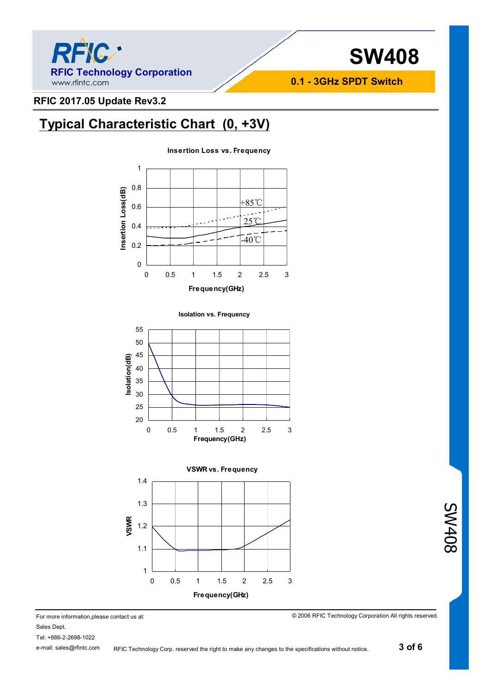

**0.1 - 3GHz SPDT Switch**

### **RFIC 2017.05 Update Rev3.2**

### **Typical Characteristic Chart (0, +3V)**











© 2006 RFIC Technology Corporation All rights reserved.

Sales Dept.

Tel: +886-2-2698-1022

e-mail: sales@rfintc.com RFIC Technology Corp. reserved the right to make any changes to the specifications without notice. SW408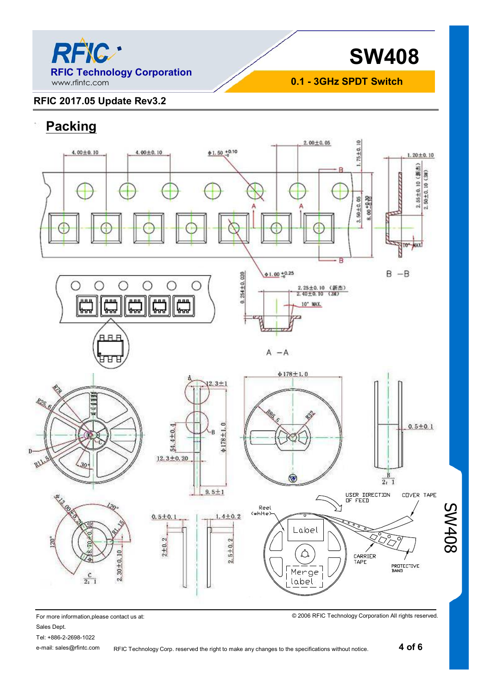

**0.1 - 3GHz SPDT Switch**

### **RFIC 2017.05 Update Rev3.2**

## **Packing**



For more information,please contact us at:

Sales Dept.

Tel: +886-2-2698-1022

© 2006 RFIC Technology Corporation All rights reserved.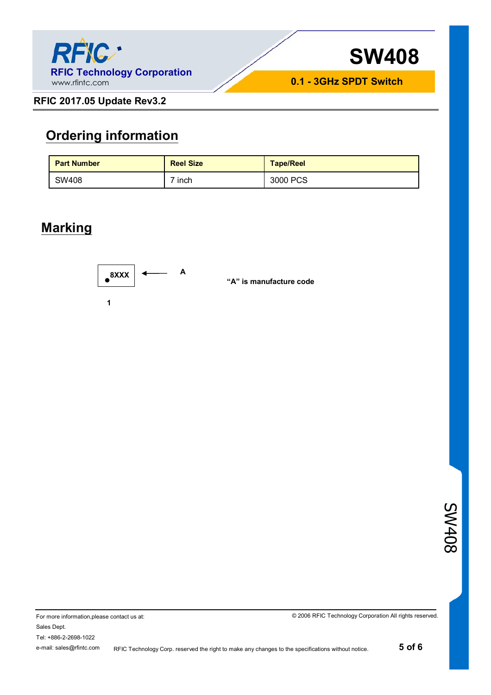



**RFIC 2017.05 Update Rev3.2**

### **Ordering information**

| <b>Part Number</b> | <b>Reel Size</b> | <b>Tape/Reel</b> |
|--------------------|------------------|------------------|
| SW408              | inch             | 3000 PCS         |

### **Marking**



SW408